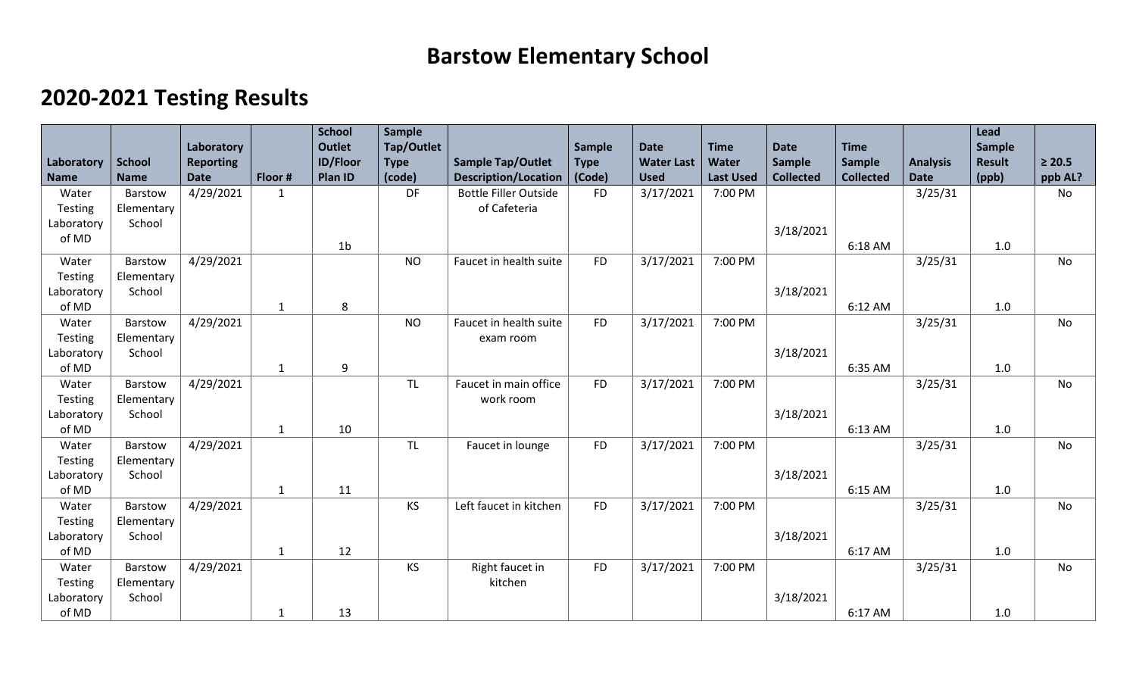## **Barstow Elementary School**

## **2020-2021 Testing Results**

|             |               |                  |              | <b>School</b>   | <b>Sample</b> |                              |             |                   |                  |                  |                  |                 | Lead    |             |
|-------------|---------------|------------------|--------------|-----------------|---------------|------------------------------|-------------|-------------------|------------------|------------------|------------------|-----------------|---------|-------------|
|             |               | Laboratory       |              | <b>Outlet</b>   | Tap/Outlet    |                              | Sample      | <b>Date</b>       | <b>Time</b>      | <b>Date</b>      | <b>Time</b>      |                 | Sample  |             |
| Laboratory  | <b>School</b> | <b>Reporting</b> |              | <b>ID/Floor</b> | <b>Type</b>   | <b>Sample Tap/Outlet</b>     | <b>Type</b> | <b>Water Last</b> | Water            | Sample           | Sample           | <b>Analysis</b> | Result  | $\geq 20.5$ |
| <b>Name</b> | <b>Name</b>   | <b>Date</b>      | Floor #      | Plan ID         | (code)        | <b>Description/Location</b>  | (Code)      | <b>Used</b>       | <b>Last Used</b> | <b>Collected</b> | <b>Collected</b> | <b>Date</b>     | (ppb)   | ppb AL?     |
| Water       | Barstow       | 4/29/2021        | $\mathbf{1}$ |                 | DF            | <b>Bottle Filler Outside</b> | <b>FD</b>   | 3/17/2021         | 7:00 PM          |                  |                  | 3/25/31         |         | No          |
| Testing     | Elementary    |                  |              |                 |               | of Cafeteria                 |             |                   |                  |                  |                  |                 |         |             |
| Laboratory  | School        |                  |              |                 |               |                              |             |                   |                  | 3/18/2021        |                  |                 |         |             |
| of MD       |               |                  |              | 1 <sub>b</sub>  |               |                              |             |                   |                  |                  | 6:18 AM          |                 | 1.0     |             |
| Water       | Barstow       | 4/29/2021        |              |                 | <b>NO</b>     | Faucet in health suite       | <b>FD</b>   | 3/17/2021         | 7:00 PM          |                  |                  | 3/25/31         |         | No          |
| Testing     | Elementary    |                  |              |                 |               |                              |             |                   |                  |                  |                  |                 |         |             |
| Laboratory  | School        |                  |              |                 |               |                              |             |                   |                  | 3/18/2021        |                  |                 |         |             |
| of MD       |               |                  | $\mathbf{1}$ | 8               |               |                              |             |                   |                  |                  | 6:12 AM          |                 | 1.0     |             |
| Water       | Barstow       | 4/29/2021        |              |                 | <b>NO</b>     | Faucet in health suite       | <b>FD</b>   | 3/17/2021         | 7:00 PM          |                  |                  | 3/25/31         |         | No          |
| Testing     | Elementary    |                  |              |                 |               | exam room                    |             |                   |                  |                  |                  |                 |         |             |
| Laboratory  | School        |                  |              |                 |               |                              |             |                   |                  | 3/18/2021        |                  |                 |         |             |
| of MD       |               |                  | $\mathbf{1}$ | 9               |               |                              |             |                   |                  |                  | 6:35 AM          |                 | 1.0     |             |
| Water       | Barstow       | 4/29/2021        |              |                 | TL            | Faucet in main office        | <b>FD</b>   | 3/17/2021         | 7:00 PM          |                  |                  | 3/25/31         |         | No          |
| Testing     | Elementary    |                  |              |                 |               | work room                    |             |                   |                  |                  |                  |                 |         |             |
| Laboratory  | School        |                  |              |                 |               |                              |             |                   |                  | 3/18/2021        |                  |                 |         |             |
| of MD       |               |                  | $\mathbf{1}$ | 10              |               |                              |             |                   |                  |                  | 6:13 AM          |                 | 1.0     |             |
| Water       | Barstow       | 4/29/2021        |              |                 | TL            | Faucet in lounge             | <b>FD</b>   | 3/17/2021         | 7:00 PM          |                  |                  | 3/25/31         |         | No          |
| Testing     | Elementary    |                  |              |                 |               |                              |             |                   |                  |                  |                  |                 |         |             |
| Laboratory  | School        |                  |              |                 |               |                              |             |                   |                  | 3/18/2021        |                  |                 |         |             |
| of MD       |               |                  | $\mathbf{1}$ | 11              |               |                              |             |                   |                  |                  | 6:15 AM          |                 | 1.0     |             |
| Water       | Barstow       | 4/29/2021        |              |                 | KS            | Left faucet in kitchen       | <b>FD</b>   | 3/17/2021         | 7:00 PM          |                  |                  | 3/25/31         |         | No          |
| Testing     | Elementary    |                  |              |                 |               |                              |             |                   |                  |                  |                  |                 |         |             |
| Laboratory  | School        |                  |              |                 |               |                              |             |                   |                  | 3/18/2021        |                  |                 |         |             |
| of MD       |               |                  | $\mathbf{1}$ | 12              |               |                              |             |                   |                  |                  | 6:17 AM          |                 | 1.0     |             |
| Water       | Barstow       | 4/29/2021        |              |                 | KS            | Right faucet in              | <b>FD</b>   | 3/17/2021         | 7:00 PM          |                  |                  | 3/25/31         |         | No          |
| Testing     | Elementary    |                  |              |                 |               | kitchen                      |             |                   |                  |                  |                  |                 |         |             |
| Laboratory  | School        |                  |              |                 |               |                              |             |                   |                  | 3/18/2021        |                  |                 |         |             |
| of MD       |               |                  | $\mathbf{1}$ | 13              |               |                              |             |                   |                  |                  | 6:17 AM          |                 | $1.0\,$ |             |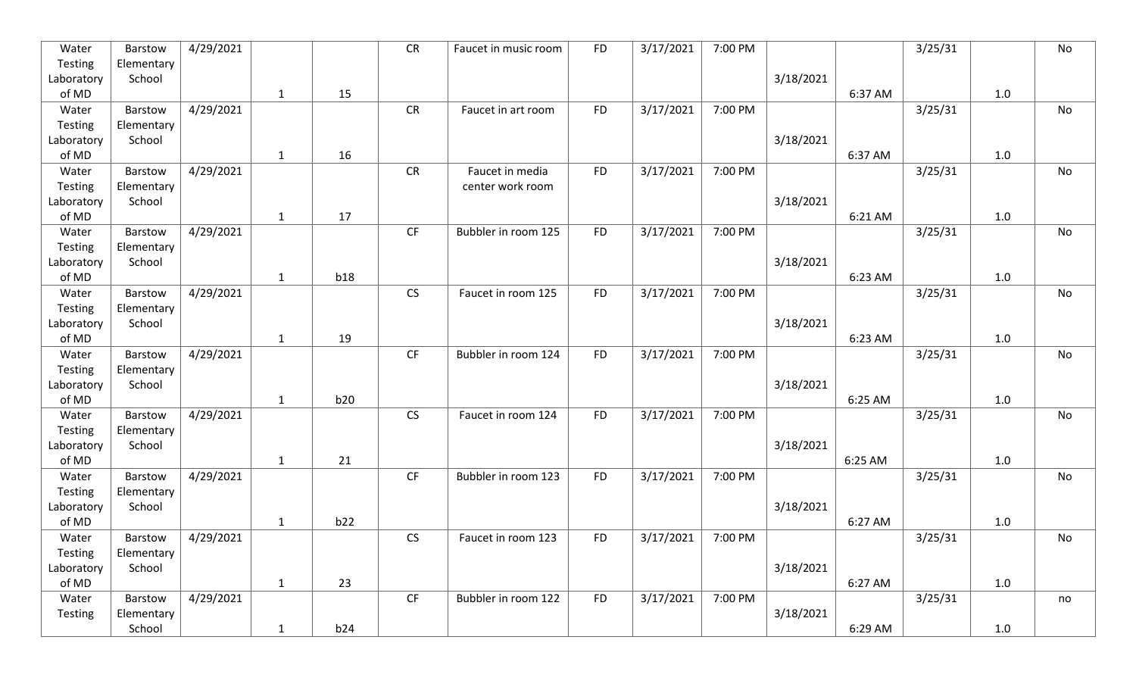| Water      | Barstow    | 4/29/2021 |              |     | <b>CR</b> | Faucet in music room | <b>FD</b> | 3/17/2021 | 7:00 PM |           |         | 3/25/31 |         | No |
|------------|------------|-----------|--------------|-----|-----------|----------------------|-----------|-----------|---------|-----------|---------|---------|---------|----|
| Testing    | Elementary |           |              |     |           |                      |           |           |         |           |         |         |         |    |
| Laboratory | School     |           |              |     |           |                      |           |           |         | 3/18/2021 |         |         |         |    |
| of MD      |            |           | $\mathbf{1}$ | 15  |           |                      |           |           |         |           | 6:37 AM |         | 1.0     |    |
| Water      | Barstow    | 4/29/2021 |              |     | <b>CR</b> | Faucet in art room   | <b>FD</b> | 3/17/2021 | 7:00 PM |           |         | 3/25/31 |         | No |
| Testing    | Elementary |           |              |     |           |                      |           |           |         |           |         |         |         |    |
| Laboratory | School     |           |              |     |           |                      |           |           |         | 3/18/2021 |         |         |         |    |
| of MD      |            |           | $\mathbf{1}$ | 16  |           |                      |           |           |         |           | 6:37 AM |         | 1.0     |    |
| Water      | Barstow    | 4/29/2021 |              |     | <b>CR</b> | Faucet in media      | <b>FD</b> | 3/17/2021 | 7:00 PM |           |         | 3/25/31 |         | No |
| Testing    | Elementary |           |              |     |           | center work room     |           |           |         |           |         |         |         |    |
| Laboratory | School     |           |              |     |           |                      |           |           |         | 3/18/2021 |         |         |         |    |
| of MD      |            |           | $\mathbf{1}$ | 17  |           |                      |           |           |         |           | 6:21 AM |         | 1.0     |    |
| Water      | Barstow    | 4/29/2021 |              |     | CF        | Bubbler in room 125  | <b>FD</b> | 3/17/2021 | 7:00 PM |           |         | 3/25/31 |         | No |
| Testing    | Elementary |           |              |     |           |                      |           |           |         |           |         |         |         |    |
| Laboratory | School     |           |              |     |           |                      |           |           |         | 3/18/2021 |         |         |         |    |
| of MD      |            |           | $\mathbf{1}$ | b18 |           |                      |           |           |         |           | 6:23 AM |         | 1.0     |    |
| Water      | Barstow    | 4/29/2021 |              |     | <b>CS</b> | Faucet in room 125   | <b>FD</b> | 3/17/2021 | 7:00 PM |           |         | 3/25/31 |         | No |
| Testing    | Elementary |           |              |     |           |                      |           |           |         |           |         |         |         |    |
| Laboratory | School     |           |              |     |           |                      |           |           |         | 3/18/2021 |         |         |         |    |
| of MD      |            |           | $\mathbf{1}$ | 19  |           |                      |           |           |         |           | 6:23 AM |         | 1.0     |    |
| Water      | Barstow    | 4/29/2021 |              |     | CF        | Bubbler in room 124  | <b>FD</b> | 3/17/2021 | 7:00 PM |           |         | 3/25/31 |         | No |
| Testing    | Elementary |           |              |     |           |                      |           |           |         |           |         |         |         |    |
| Laboratory | School     |           |              |     |           |                      |           |           |         | 3/18/2021 |         |         |         |    |
| of MD      |            |           | $\mathbf{1}$ | b20 |           |                      |           |           |         |           | 6:25 AM |         | 1.0     |    |
| Water      | Barstow    | 4/29/2021 |              |     | <b>CS</b> | Faucet in room 124   | <b>FD</b> | 3/17/2021 | 7:00 PM |           |         | 3/25/31 |         | No |
| Testing    | Elementary |           |              |     |           |                      |           |           |         |           |         |         |         |    |
| Laboratory | School     |           |              |     |           |                      |           |           |         | 3/18/2021 |         |         |         |    |
| of MD      |            |           | $\mathbf{1}$ | 21  |           |                      |           |           |         |           | 6:25 AM |         | 1.0     |    |
| Water      | Barstow    | 4/29/2021 |              |     | CF        | Bubbler in room 123  | <b>FD</b> | 3/17/2021 | 7:00 PM |           |         | 3/25/31 |         | No |
| Testing    | Elementary |           |              |     |           |                      |           |           |         |           |         |         |         |    |
| Laboratory | School     |           |              |     |           |                      |           |           |         | 3/18/2021 |         |         |         |    |
| of MD      |            |           | $\mathbf{1}$ | b22 |           |                      |           |           |         |           | 6:27 AM |         | 1.0     |    |
| Water      | Barstow    | 4/29/2021 |              |     | <b>CS</b> | Faucet in room 123   | <b>FD</b> | 3/17/2021 | 7:00 PM |           |         | 3/25/31 |         | No |
| Testing    | Elementary |           |              |     |           |                      |           |           |         |           |         |         |         |    |
| Laboratory | School     |           |              |     |           |                      |           |           |         | 3/18/2021 |         |         |         |    |
| of MD      |            |           | $\mathbf{1}$ | 23  |           |                      |           |           |         |           | 6:27 AM |         | 1.0     |    |
| Water      | Barstow    | 4/29/2021 |              |     | CF        | Bubbler in room 122  | <b>FD</b> | 3/17/2021 | 7:00 PM |           |         | 3/25/31 |         | no |
| Testing    | Elementary |           |              |     |           |                      |           |           |         | 3/18/2021 |         |         |         |    |
|            | School     |           | $\mathbf{1}$ | b24 |           |                      |           |           |         |           | 6:29 AM |         | $1.0\,$ |    |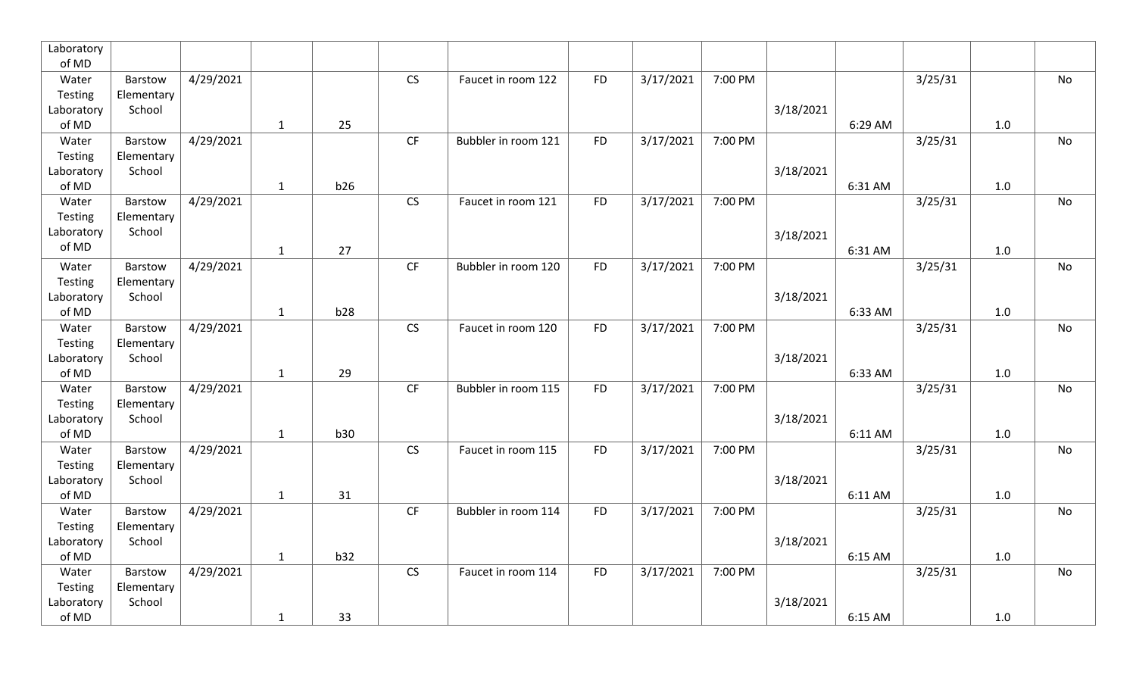| Laboratory |            |           |              |     |                        |                     |           |           |         |           |         |         |         |    |
|------------|------------|-----------|--------------|-----|------------------------|---------------------|-----------|-----------|---------|-----------|---------|---------|---------|----|
| of MD      |            |           |              |     |                        |                     |           |           |         |           |         |         |         |    |
| Water      | Barstow    | 4/29/2021 |              |     | $\overline{\text{CS}}$ | Faucet in room 122  | <b>FD</b> | 3/17/2021 | 7:00 PM |           |         | 3/25/31 |         | No |
| Testing    | Elementary |           |              |     |                        |                     |           |           |         |           |         |         |         |    |
| Laboratory | School     |           |              |     |                        |                     |           |           |         | 3/18/2021 |         |         |         |    |
| of MD      |            |           | $\mathbf{1}$ | 25  |                        |                     |           |           |         |           | 6:29 AM |         | 1.0     |    |
| Water      | Barstow    | 4/29/2021 |              |     | CF                     | Bubbler in room 121 | <b>FD</b> | 3/17/2021 | 7:00 PM |           |         | 3/25/31 |         | No |
| Testing    | Elementary |           |              |     |                        |                     |           |           |         |           |         |         |         |    |
| Laboratory | School     |           |              |     |                        |                     |           |           |         | 3/18/2021 |         |         |         |    |
| of MD      |            |           | $\mathbf{1}$ | b26 |                        |                     |           |           |         |           | 6:31 AM |         | 1.0     |    |
| Water      | Barstow    | 4/29/2021 |              |     | <b>CS</b>              | Faucet in room 121  | <b>FD</b> | 3/17/2021 | 7:00 PM |           |         | 3/25/31 |         | No |
| Testing    | Elementary |           |              |     |                        |                     |           |           |         |           |         |         |         |    |
| Laboratory | School     |           |              |     |                        |                     |           |           |         | 3/18/2021 |         |         |         |    |
| of MD      |            |           | $\mathbf{1}$ | 27  |                        |                     |           |           |         |           | 6:31 AM |         | $1.0\,$ |    |
| Water      | Barstow    | 4/29/2021 |              |     | <b>CF</b>              | Bubbler in room 120 | <b>FD</b> | 3/17/2021 | 7:00 PM |           |         | 3/25/31 |         | No |
| Testing    | Elementary |           |              |     |                        |                     |           |           |         |           |         |         |         |    |
| Laboratory | School     |           |              |     |                        |                     |           |           |         | 3/18/2021 |         |         |         |    |
| of MD      |            |           | $\mathbf{1}$ | b28 |                        |                     |           |           |         |           | 6:33 AM |         | 1.0     |    |
| Water      | Barstow    | 4/29/2021 |              |     | CS                     | Faucet in room 120  | <b>FD</b> | 3/17/2021 | 7:00 PM |           |         | 3/25/31 |         | No |
| Testing    | Elementary |           |              |     |                        |                     |           |           |         |           |         |         |         |    |
| Laboratory | School     |           |              |     |                        |                     |           |           |         | 3/18/2021 |         |         |         |    |
| of MD      |            |           | $\mathbf{1}$ | 29  |                        |                     |           |           |         |           | 6:33 AM |         | 1.0     |    |
| Water      | Barstow    | 4/29/2021 |              |     | CF                     | Bubbler in room 115 | <b>FD</b> | 3/17/2021 | 7:00 PM |           |         | 3/25/31 |         | No |
| Testing    | Elementary |           |              |     |                        |                     |           |           |         |           |         |         |         |    |
| Laboratory | School     |           |              |     |                        |                     |           |           |         | 3/18/2021 |         |         |         |    |
| of MD      |            |           | $\mathbf{1}$ | b30 |                        |                     |           |           |         |           | 6:11 AM |         | 1.0     |    |
| Water      | Barstow    | 4/29/2021 |              |     | <b>CS</b>              | Faucet in room 115  | <b>FD</b> | 3/17/2021 | 7:00 PM |           |         | 3/25/31 |         | No |
| Testing    | Elementary |           |              |     |                        |                     |           |           |         |           |         |         |         |    |
| Laboratory | School     |           |              |     |                        |                     |           |           |         | 3/18/2021 |         |         |         |    |
| of MD      |            |           | $\mathbf{1}$ | 31  |                        |                     |           |           |         |           | 6:11 AM |         | 1.0     |    |
| Water      | Barstow    | 4/29/2021 |              |     | CF                     | Bubbler in room 114 | <b>FD</b> | 3/17/2021 | 7:00 PM |           |         | 3/25/31 |         | No |
| Testing    | Elementary |           |              |     |                        |                     |           |           |         |           |         |         |         |    |
| Laboratory | School     |           |              |     |                        |                     |           |           |         | 3/18/2021 |         |         |         |    |
| of MD      |            |           | $\mathbf{1}$ | b32 |                        |                     |           |           |         |           | 6:15 AM |         | 1.0     |    |
| Water      | Barstow    | 4/29/2021 |              |     | <b>CS</b>              | Faucet in room 114  | <b>FD</b> | 3/17/2021 | 7:00 PM |           |         | 3/25/31 |         | No |
| Testing    | Elementary |           |              |     |                        |                     |           |           |         |           |         |         |         |    |
| Laboratory | School     |           |              |     |                        |                     |           |           |         | 3/18/2021 |         |         |         |    |
| of MD      |            |           | $\mathbf{1}$ | 33  |                        |                     |           |           |         |           | 6:15 AM |         | $1.0\,$ |    |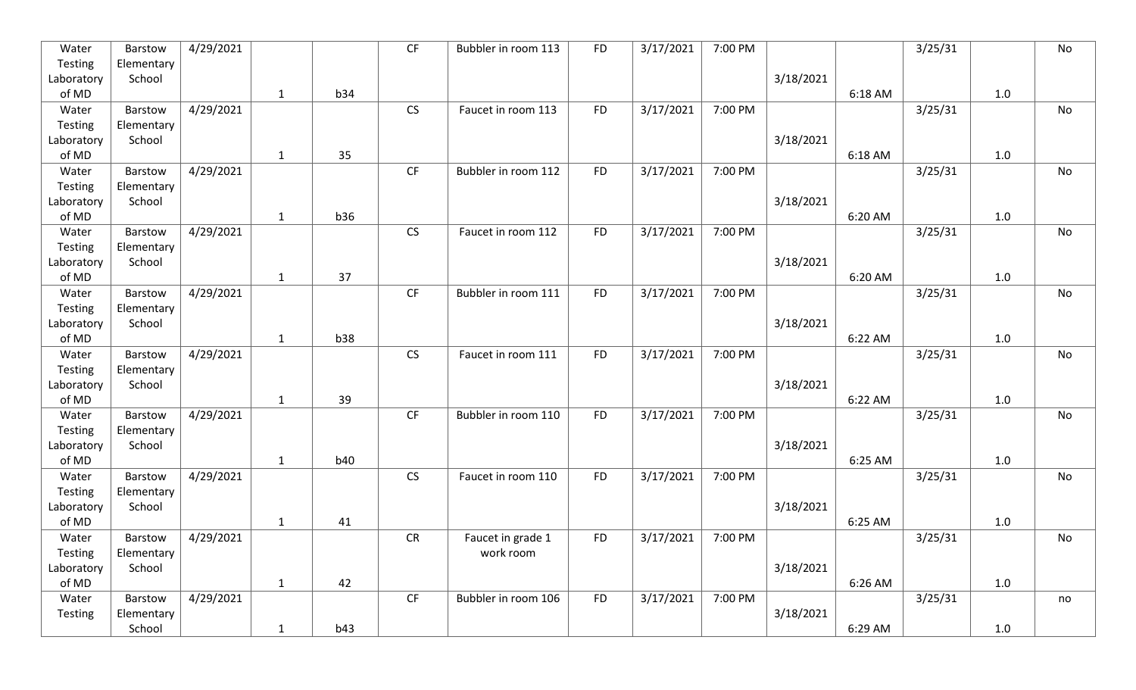| Water      | Barstow        | 4/29/2021 |              |     | <b>CF</b> | Bubbler in room 113 | <b>FD</b> | 3/17/2021 | 7:00 PM |           |         | 3/25/31 |     | <b>No</b> |
|------------|----------------|-----------|--------------|-----|-----------|---------------------|-----------|-----------|---------|-----------|---------|---------|-----|-----------|
| Testing    | Elementary     |           |              |     |           |                     |           |           |         |           |         |         |     |           |
| Laboratory | School         |           |              |     |           |                     |           |           |         | 3/18/2021 |         |         |     |           |
| of MD      |                |           | $\mathbf{1}$ | b34 |           |                     |           |           |         |           | 6:18 AM |         | 1.0 |           |
| Water      | Barstow        | 4/29/2021 |              |     | CS        | Faucet in room 113  | <b>FD</b> | 3/17/2021 | 7:00 PM |           |         | 3/25/31 |     | No        |
| Testing    | Elementary     |           |              |     |           |                     |           |           |         |           |         |         |     |           |
| Laboratory | School         |           |              |     |           |                     |           |           |         | 3/18/2021 |         |         |     |           |
| of MD      |                |           | $\mathbf{1}$ | 35  |           |                     |           |           |         |           | 6:18 AM |         | 1.0 |           |
| Water      | Barstow        | 4/29/2021 |              |     | <b>CF</b> | Bubbler in room 112 | <b>FD</b> | 3/17/2021 | 7:00 PM |           |         | 3/25/31 |     | No        |
| Testing    | Elementary     |           |              |     |           |                     |           |           |         |           |         |         |     |           |
| Laboratory | School         |           |              |     |           |                     |           |           |         | 3/18/2021 |         |         |     |           |
| of MD      |                |           | $\mathbf{1}$ | b36 |           |                     |           |           |         |           | 6:20 AM |         | 1.0 |           |
| Water      | Barstow        | 4/29/2021 |              |     | CS        | Faucet in room 112  | <b>FD</b> | 3/17/2021 | 7:00 PM |           |         | 3/25/31 |     | No        |
| Testing    | Elementary     |           |              |     |           |                     |           |           |         |           |         |         |     |           |
| Laboratory | School         |           |              |     |           |                     |           |           |         | 3/18/2021 |         |         |     |           |
| of MD      |                |           | $\mathbf{1}$ | 37  |           |                     |           |           |         |           | 6:20 AM |         | 1.0 |           |
| Water      | <b>Barstow</b> | 4/29/2021 |              |     | CF        | Bubbler in room 111 | <b>FD</b> | 3/17/2021 | 7:00 PM |           |         | 3/25/31 |     | No        |
| Testing    | Elementary     |           |              |     |           |                     |           |           |         |           |         |         |     |           |
| Laboratory | School         |           |              |     |           |                     |           |           |         | 3/18/2021 |         |         |     |           |
| of MD      |                |           | $\mathbf{1}$ | b38 |           |                     |           |           |         |           | 6:22 AM |         | 1.0 |           |
| Water      | Barstow        | 4/29/2021 |              |     | CS        | Faucet in room 111  | <b>FD</b> | 3/17/2021 | 7:00 PM |           |         | 3/25/31 |     | <b>No</b> |
| Testing    | Elementary     |           |              |     |           |                     |           |           |         |           |         |         |     |           |
| Laboratory | School         |           |              |     |           |                     |           |           |         | 3/18/2021 |         |         |     |           |
| of MD      |                |           | $\mathbf{1}$ | 39  |           |                     |           |           |         |           | 6:22 AM |         | 1.0 |           |
| Water      | Barstow        | 4/29/2021 |              |     | CF        | Bubbler in room 110 | <b>FD</b> | 3/17/2021 | 7:00 PM |           |         | 3/25/31 |     | No        |
| Testing    | Elementary     |           |              |     |           |                     |           |           |         |           |         |         |     |           |
| Laboratory | School         |           |              |     |           |                     |           |           |         | 3/18/2021 |         |         |     |           |
| of MD      |                |           | $\mathbf{1}$ | b40 |           |                     |           |           |         |           | 6:25 AM |         | 1.0 |           |
| Water      | Barstow        | 4/29/2021 |              |     | CS        | Faucet in room 110  | <b>FD</b> | 3/17/2021 | 7:00 PM |           |         | 3/25/31 |     | No        |
| Testing    | Elementary     |           |              |     |           |                     |           |           |         |           |         |         |     |           |
| Laboratory | School         |           |              |     |           |                     |           |           |         | 3/18/2021 |         |         |     |           |
| of MD      |                |           | $\mathbf{1}$ | 41  |           |                     |           |           |         |           | 6:25 AM |         | 1.0 |           |
| Water      | Barstow        | 4/29/2021 |              |     | CR        | Faucet in grade 1   | <b>FD</b> | 3/17/2021 | 7:00 PM |           |         | 3/25/31 |     | No        |
| Testing    | Elementary     |           |              |     |           | work room           |           |           |         |           |         |         |     |           |
| Laboratory | School         |           |              |     |           |                     |           |           |         | 3/18/2021 |         |         |     |           |
| of MD      |                |           | $\mathbf{1}$ | 42  |           |                     |           |           |         |           | 6:26 AM |         | 1.0 |           |
| Water      | Barstow        | 4/29/2021 |              |     | CF        | Bubbler in room 106 | <b>FD</b> | 3/17/2021 | 7:00 PM |           |         | 3/25/31 |     | no        |
| Testing    | Elementary     |           |              |     |           |                     |           |           |         | 3/18/2021 |         |         |     |           |
|            | School         |           | $\mathbf{1}$ | b43 |           |                     |           |           |         |           | 6:29 AM |         | 1.0 |           |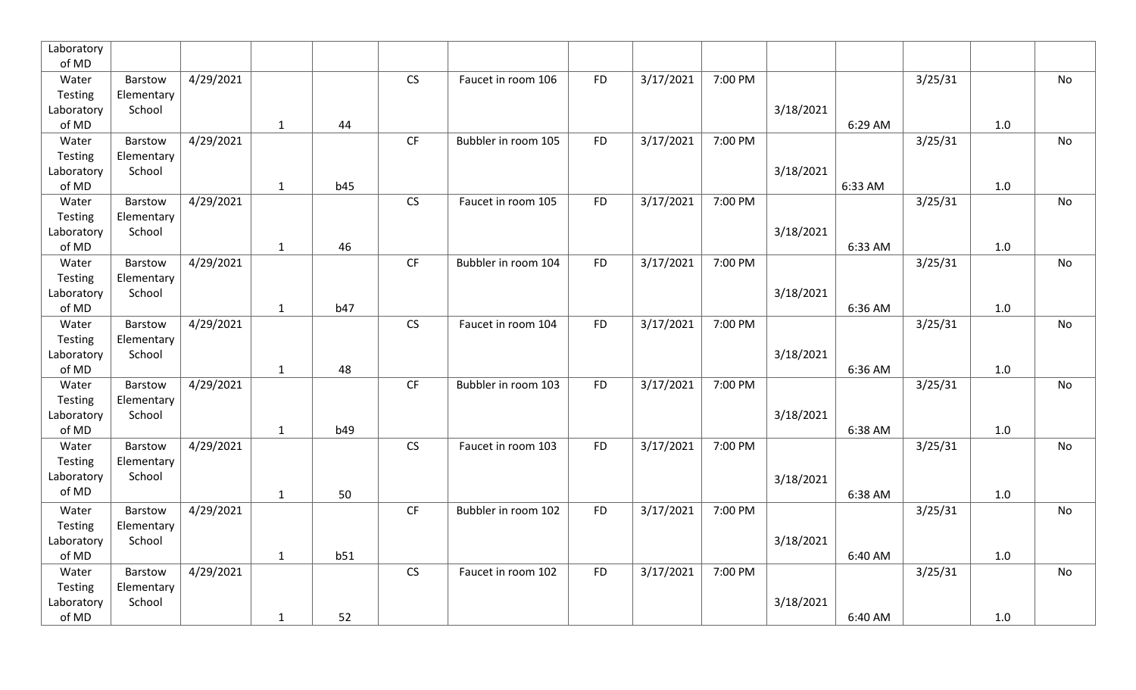| Laboratory |            |           |              |            |           |                     |           |           |         |           |         |         |         |           |
|------------|------------|-----------|--------------|------------|-----------|---------------------|-----------|-----------|---------|-----------|---------|---------|---------|-----------|
| of MD      |            |           |              |            |           |                     |           |           |         |           |         |         |         |           |
| Water      | Barstow    | 4/29/2021 |              |            | <b>CS</b> | Faucet in room 106  | <b>FD</b> | 3/17/2021 | 7:00 PM |           |         | 3/25/31 |         | <b>No</b> |
| Testing    | Elementary |           |              |            |           |                     |           |           |         |           |         |         |         |           |
| Laboratory | School     |           |              |            |           |                     |           |           |         | 3/18/2021 |         |         |         |           |
| of MD      |            |           | $\mathbf{1}$ | 44         |           |                     |           |           |         |           | 6:29 AM |         | 1.0     |           |
| Water      | Barstow    | 4/29/2021 |              |            | CF        | Bubbler in room 105 | <b>FD</b> | 3/17/2021 | 7:00 PM |           |         | 3/25/31 |         | No        |
| Testing    | Elementary |           |              |            |           |                     |           |           |         |           |         |         |         |           |
| Laboratory | School     |           |              |            |           |                     |           |           |         | 3/18/2021 |         |         |         |           |
| of MD      |            |           | $\mathbf{1}$ | <b>b45</b> |           |                     |           |           |         |           | 6:33 AM |         | 1.0     |           |
| Water      | Barstow    | 4/29/2021 |              |            | <b>CS</b> | Faucet in room 105  | <b>FD</b> | 3/17/2021 | 7:00 PM |           |         | 3/25/31 |         | No        |
| Testing    | Elementary |           |              |            |           |                     |           |           |         |           |         |         |         |           |
| Laboratory | School     |           |              |            |           |                     |           |           |         | 3/18/2021 |         |         |         |           |
| of MD      |            |           | $\mathbf{1}$ | 46         |           |                     |           |           |         |           | 6:33 AM |         | 1.0     |           |
| Water      | Barstow    | 4/29/2021 |              |            | CF        | Bubbler in room 104 | <b>FD</b> | 3/17/2021 | 7:00 PM |           |         | 3/25/31 |         | No        |
| Testing    | Elementary |           |              |            |           |                     |           |           |         |           |         |         |         |           |
| Laboratory | School     |           |              |            |           |                     |           |           |         | 3/18/2021 |         |         |         |           |
| of MD      |            |           | $\mathbf{1}$ | b47        |           |                     |           |           |         |           | 6:36 AM |         | 1.0     |           |
| Water      | Barstow    | 4/29/2021 |              |            | CS        | Faucet in room 104  | <b>FD</b> | 3/17/2021 | 7:00 PM |           |         | 3/25/31 |         | No        |
| Testing    | Elementary |           |              |            |           |                     |           |           |         |           |         |         |         |           |
| Laboratory | School     |           |              |            |           |                     |           |           |         | 3/18/2021 |         |         |         |           |
| of MD      |            |           | $\mathbf{1}$ | 48         |           |                     |           |           |         |           | 6:36 AM |         | 1.0     |           |
| Water      | Barstow    | 4/29/2021 |              |            | CF        | Bubbler in room 103 | <b>FD</b> | 3/17/2021 | 7:00 PM |           |         | 3/25/31 |         | No        |
| Testing    | Elementary |           |              |            |           |                     |           |           |         |           |         |         |         |           |
| Laboratory | School     |           |              |            |           |                     |           |           |         | 3/18/2021 |         |         |         |           |
| of MD      |            |           | $\mathbf{1}$ | b49        |           |                     |           |           |         |           | 6:38 AM |         | $1.0\,$ |           |
| Water      | Barstow    | 4/29/2021 |              |            | CS        | Faucet in room 103  | <b>FD</b> | 3/17/2021 | 7:00 PM |           |         | 3/25/31 |         | No        |
| Testing    | Elementary |           |              |            |           |                     |           |           |         |           |         |         |         |           |
| Laboratory | School     |           |              |            |           |                     |           |           |         | 3/18/2021 |         |         |         |           |
| of MD      |            |           | $\mathbf{1}$ | 50         |           |                     |           |           |         |           | 6:38 AM |         | 1.0     |           |
| Water      | Barstow    | 4/29/2021 |              |            | CF        | Bubbler in room 102 | <b>FD</b> | 3/17/2021 | 7:00 PM |           |         | 3/25/31 |         | No        |
| Testing    | Elementary |           |              |            |           |                     |           |           |         |           |         |         |         |           |
| Laboratory | School     |           |              |            |           |                     |           |           |         | 3/18/2021 |         |         |         |           |
| of MD      |            |           | $\mathbf{1}$ | b51        |           |                     |           |           |         |           | 6:40 AM |         | 1.0     |           |
| Water      | Barstow    | 4/29/2021 |              |            | CS        | Faucet in room 102  | <b>FD</b> | 3/17/2021 | 7:00 PM |           |         | 3/25/31 |         | No        |
| Testing    | Elementary |           |              |            |           |                     |           |           |         |           |         |         |         |           |
| Laboratory | School     |           |              |            |           |                     |           |           |         | 3/18/2021 |         |         |         |           |
| of MD      |            |           | $\mathbf{1}$ | 52         |           |                     |           |           |         |           | 6:40 AM |         | $1.0\,$ |           |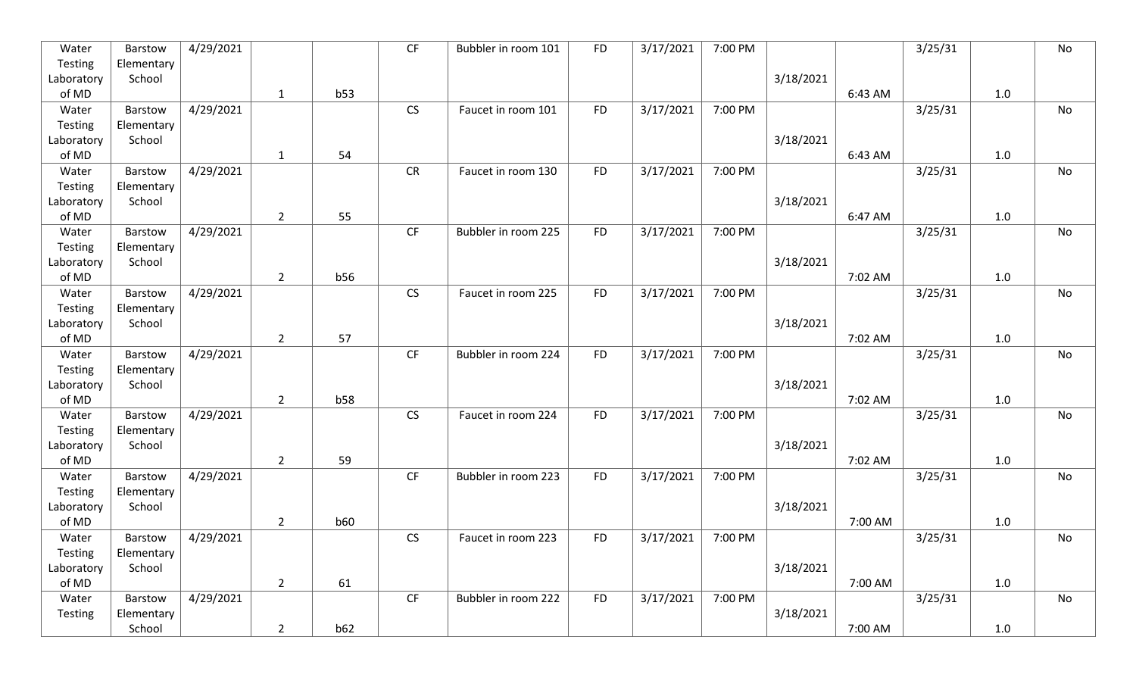| Water      | Barstow        | 4/29/2021 |                |            | $\mathsf{C}\mathsf{F}$ | Bubbler in room 101 | <b>FD</b> | 3/17/2021 | 7:00 PM |           |         | 3/25/31 |         | No |
|------------|----------------|-----------|----------------|------------|------------------------|---------------------|-----------|-----------|---------|-----------|---------|---------|---------|----|
| Testing    | Elementary     |           |                |            |                        |                     |           |           |         |           |         |         |         |    |
| Laboratory | School         |           |                |            |                        |                     |           |           |         | 3/18/2021 |         |         |         |    |
| of MD      |                |           | $\mathbf{1}$   | b53        |                        |                     |           |           |         |           | 6:43 AM |         | 1.0     |    |
| Water      | Barstow        | 4/29/2021 |                |            | <b>CS</b>              | Faucet in room 101  | <b>FD</b> | 3/17/2021 | 7:00 PM |           |         | 3/25/31 |         | No |
| Testing    | Elementary     |           |                |            |                        |                     |           |           |         |           |         |         |         |    |
| Laboratory | School         |           |                |            |                        |                     |           |           |         | 3/18/2021 |         |         |         |    |
| of MD      |                |           | $\mathbf{1}$   | 54         |                        |                     |           |           |         |           | 6:43 AM |         | 1.0     |    |
| Water      | Barstow        | 4/29/2021 |                |            | <b>CR</b>              | Faucet in room 130  | <b>FD</b> | 3/17/2021 | 7:00 PM |           |         | 3/25/31 |         | No |
| Testing    | Elementary     |           |                |            |                        |                     |           |           |         |           |         |         |         |    |
| Laboratory | School         |           |                |            |                        |                     |           |           |         | 3/18/2021 |         |         |         |    |
| of MD      |                |           | $\overline{2}$ | 55         |                        |                     |           |           |         |           | 6:47 AM |         | 1.0     |    |
| Water      | Barstow        | 4/29/2021 |                |            | CF                     | Bubbler in room 225 | <b>FD</b> | 3/17/2021 | 7:00 PM |           |         | 3/25/31 |         | No |
| Testing    | Elementary     |           |                |            |                        |                     |           |           |         |           |         |         |         |    |
| Laboratory | School         |           |                |            |                        |                     |           |           |         | 3/18/2021 |         |         |         |    |
| of MD      |                |           | $\overline{2}$ | <b>b56</b> |                        |                     |           |           |         |           | 7:02 AM |         | 1.0     |    |
| Water      | <b>Barstow</b> | 4/29/2021 |                |            | <b>CS</b>              | Faucet in room 225  | <b>FD</b> | 3/17/2021 | 7:00 PM |           |         | 3/25/31 |         | No |
| Testing    | Elementary     |           |                |            |                        |                     |           |           |         |           |         |         |         |    |
| Laboratory | School         |           |                |            |                        |                     |           |           |         | 3/18/2021 |         |         |         |    |
| of MD      |                |           | $\overline{2}$ | 57         |                        |                     |           |           |         |           | 7:02 AM |         | 1.0     |    |
| Water      | Barstow        | 4/29/2021 |                |            | CF                     | Bubbler in room 224 | <b>FD</b> | 3/17/2021 | 7:00 PM |           |         | 3/25/31 |         | No |
| Testing    | Elementary     |           |                |            |                        |                     |           |           |         |           |         |         |         |    |
| Laboratory | School         |           |                |            |                        |                     |           |           |         | 3/18/2021 |         |         |         |    |
| of MD      |                |           | $\overline{2}$ | <b>b58</b> |                        |                     |           |           |         |           | 7:02 AM |         | 1.0     |    |
| Water      | Barstow        | 4/29/2021 |                |            | <b>CS</b>              | Faucet in room 224  | <b>FD</b> | 3/17/2021 | 7:00 PM |           |         | 3/25/31 |         | No |
| Testing    | Elementary     |           |                |            |                        |                     |           |           |         |           |         |         |         |    |
| Laboratory | School         |           |                |            |                        |                     |           |           |         | 3/18/2021 |         |         |         |    |
| of MD      |                |           | $\overline{2}$ | 59         |                        |                     |           |           |         |           | 7:02 AM |         | 1.0     |    |
| Water      | <b>Barstow</b> | 4/29/2021 |                |            | CF                     | Bubbler in room 223 | <b>FD</b> | 3/17/2021 | 7:00 PM |           |         | 3/25/31 |         | No |
| Testing    | Elementary     |           |                |            |                        |                     |           |           |         |           |         |         |         |    |
| Laboratory | School         |           |                |            |                        |                     |           |           |         | 3/18/2021 |         |         |         |    |
| of MD      |                |           | $\overline{2}$ | <b>b60</b> |                        |                     |           |           |         |           | 7:00 AM |         | 1.0     |    |
| Water      | Barstow        | 4/29/2021 |                |            | <b>CS</b>              | Faucet in room 223  | <b>FD</b> | 3/17/2021 | 7:00 PM |           |         | 3/25/31 |         | No |
| Testing    | Elementary     |           |                |            |                        |                     |           |           |         |           |         |         |         |    |
| Laboratory | School         |           |                |            |                        |                     |           |           |         | 3/18/2021 |         |         |         |    |
| of MD      |                |           | $\overline{2}$ | 61         |                        |                     |           |           |         |           | 7:00 AM |         | 1.0     |    |
| Water      | Barstow        | 4/29/2021 |                |            | CF                     | Bubbler in room 222 | <b>FD</b> | 3/17/2021 | 7:00 PM |           |         | 3/25/31 |         | No |
| Testing    | Elementary     |           |                |            |                        |                     |           |           |         | 3/18/2021 |         |         |         |    |
|            | School         |           | $2^{\circ}$    | b62        |                        |                     |           |           |         |           | 7:00 AM |         | $1.0\,$ |    |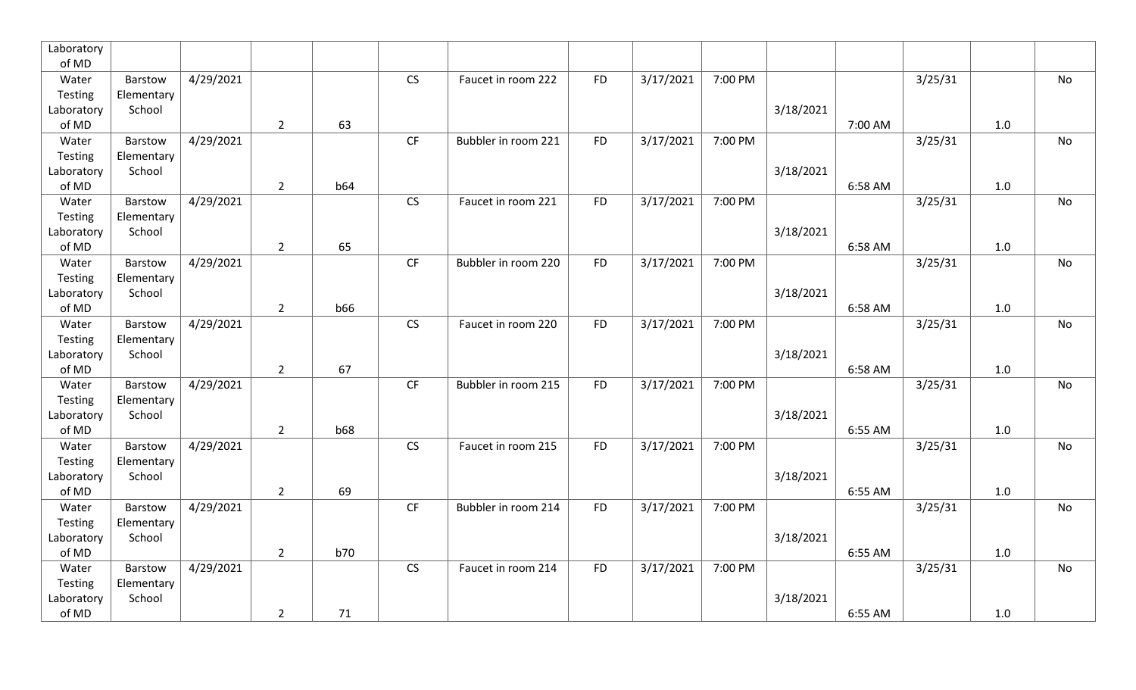| Laboratory |                |           |                |            |           |                     |           |           |         |           |         |         |         |    |
|------------|----------------|-----------|----------------|------------|-----------|---------------------|-----------|-----------|---------|-----------|---------|---------|---------|----|
| of MD      |                |           |                |            |           |                     |           |           |         |           |         |         |         |    |
| Water      | Barstow        | 4/29/2021 |                |            | <b>CS</b> | Faucet in room 222  | <b>FD</b> | 3/17/2021 | 7:00 PM |           |         | 3/25/31 |         | No |
| Testing    | Elementary     |           |                |            |           |                     |           |           |         |           |         |         |         |    |
| Laboratory | School         |           |                |            |           |                     |           |           |         | 3/18/2021 |         |         |         |    |
| of MD      |                |           | $\overline{2}$ | 63         |           |                     |           |           |         |           | 7:00 AM |         | 1.0     |    |
| Water      | Barstow        | 4/29/2021 |                |            | CF        | Bubbler in room 221 | <b>FD</b> | 3/17/2021 | 7:00 PM |           |         | 3/25/31 |         | No |
| Testing    | Elementary     |           |                |            |           |                     |           |           |         |           |         |         |         |    |
| Laboratory | School         |           |                |            |           |                     |           |           |         | 3/18/2021 |         |         |         |    |
| of MD      |                |           | $\overline{2}$ | <b>b64</b> |           |                     |           |           |         |           | 6:58 AM |         | 1.0     |    |
| Water      | Barstow        | 4/29/2021 |                |            | CS        | Faucet in room 221  | <b>FD</b> | 3/17/2021 | 7:00 PM |           |         | 3/25/31 |         | No |
| Testing    | Elementary     |           |                |            |           |                     |           |           |         |           |         |         |         |    |
| Laboratory | School         |           |                |            |           |                     |           |           |         | 3/18/2021 |         |         |         |    |
| of MD      |                |           | $\overline{2}$ | 65         |           |                     |           |           |         |           | 6:58 AM |         | $1.0\,$ |    |
| Water      | Barstow        | 4/29/2021 |                |            | <b>CF</b> | Bubbler in room 220 | <b>FD</b> | 3/17/2021 | 7:00 PM |           |         | 3/25/31 |         | No |
| Testing    | Elementary     |           |                |            |           |                     |           |           |         |           |         |         |         |    |
| Laboratory | School         |           |                |            |           |                     |           |           |         | 3/18/2021 |         |         |         |    |
| of MD      |                |           | $2^{\circ}$    | <b>b66</b> |           |                     |           |           |         |           | 6:58 AM |         | 1.0     |    |
| Water      | <b>Barstow</b> | 4/29/2021 |                |            | CS        | Faucet in room 220  | <b>FD</b> | 3/17/2021 | 7:00 PM |           |         | 3/25/31 |         | No |
| Testing    | Elementary     |           |                |            |           |                     |           |           |         |           |         |         |         |    |
| Laboratory | School         |           |                |            |           |                     |           |           |         | 3/18/2021 |         |         |         |    |
| of MD      |                |           | $2^{\circ}$    | 67         |           |                     |           |           |         |           | 6:58 AM |         | 1.0     |    |
| Water      | Barstow        | 4/29/2021 |                |            | CF        | Bubbler in room 215 | <b>FD</b> | 3/17/2021 | 7:00 PM |           |         | 3/25/31 |         | No |
| Testing    | Elementary     |           |                |            |           |                     |           |           |         |           |         |         |         |    |
| Laboratory | School         |           |                |            |           |                     |           |           |         | 3/18/2021 |         |         |         |    |
| of MD      |                |           | $\overline{2}$ | <b>b68</b> |           |                     |           |           |         |           | 6:55 AM |         | 1.0     |    |
| Water      | <b>Barstow</b> | 4/29/2021 |                |            | CS        | Faucet in room 215  | <b>FD</b> | 3/17/2021 | 7:00 PM |           |         | 3/25/31 |         | No |
| Testing    | Elementary     |           |                |            |           |                     |           |           |         |           |         |         |         |    |
| Laboratory | School         |           |                |            |           |                     |           |           |         | 3/18/2021 |         |         |         |    |
| of MD      |                |           | $\overline{2}$ | 69         |           |                     |           |           |         |           | 6:55 AM |         | 1.0     |    |
| Water      | Barstow        | 4/29/2021 |                |            | CF        | Bubbler in room 214 | <b>FD</b> | 3/17/2021 | 7:00 PM |           |         | 3/25/31 |         | No |
| Testing    | Elementary     |           |                |            |           |                     |           |           |         |           |         |         |         |    |
| Laboratory | School         |           |                |            |           |                     |           |           |         | 3/18/2021 |         |         |         |    |
| of MD      |                |           | $\overline{2}$ | <b>b70</b> |           |                     |           |           |         |           | 6:55 AM |         | 1.0     |    |
| Water      | Barstow        | 4/29/2021 |                |            | CS        | Faucet in room 214  | <b>FD</b> | 3/17/2021 | 7:00 PM |           |         | 3/25/31 |         | No |
| Testing    | Elementary     |           |                |            |           |                     |           |           |         |           |         |         |         |    |
| Laboratory | School         |           |                |            |           |                     |           |           |         | 3/18/2021 |         |         |         |    |
| of MD      |                |           | $\overline{2}$ | 71         |           |                     |           |           |         |           | 6:55 AM |         | $1.0\,$ |    |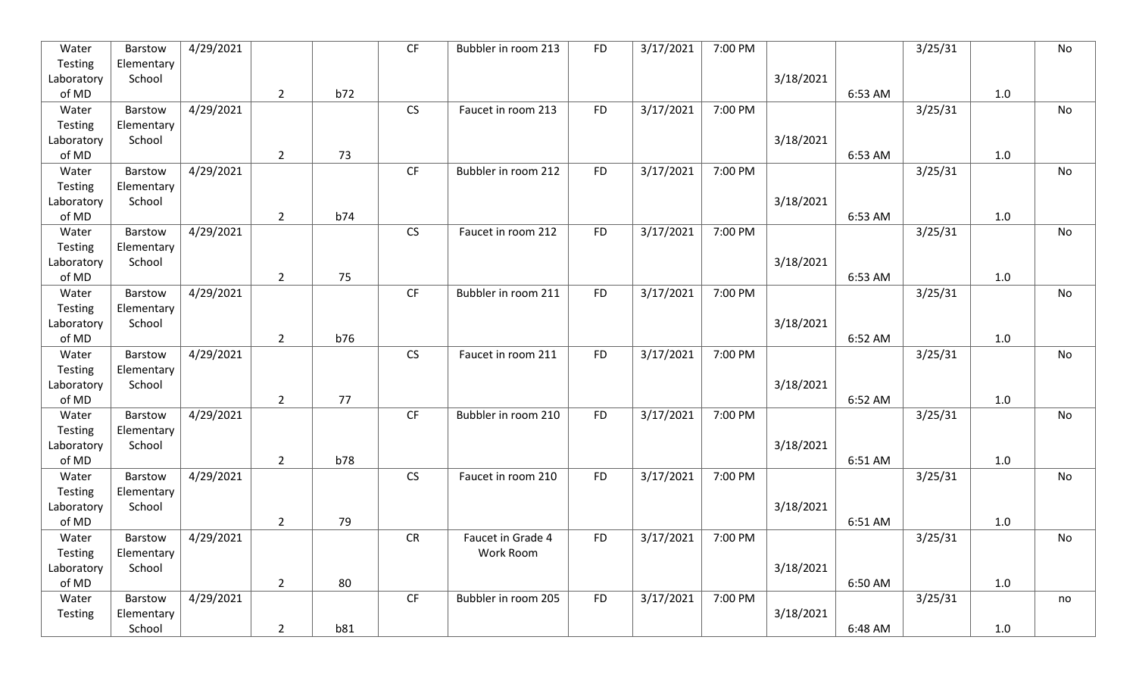| Water      | Barstow        | 4/29/2021 |                |            | CF        | Bubbler in room 213 | <b>FD</b> | 3/17/2021 | 7:00 PM |           |         | 3/25/31 |         | No |
|------------|----------------|-----------|----------------|------------|-----------|---------------------|-----------|-----------|---------|-----------|---------|---------|---------|----|
| Testing    | Elementary     |           |                |            |           |                     |           |           |         |           |         |         |         |    |
| Laboratory | School         |           |                |            |           |                     |           |           |         | 3/18/2021 |         |         |         |    |
| of MD      |                |           | $\overline{2}$ | b72        |           |                     |           |           |         |           | 6:53 AM |         | 1.0     |    |
| Water      | Barstow        | 4/29/2021 |                |            | <b>CS</b> | Faucet in room 213  | <b>FD</b> | 3/17/2021 | 7:00 PM |           |         | 3/25/31 |         | No |
| Testing    | Elementary     |           |                |            |           |                     |           |           |         |           |         |         |         |    |
| Laboratory | School         |           |                |            |           |                     |           |           |         | 3/18/2021 |         |         |         |    |
| of MD      |                |           | $\overline{2}$ | 73         |           |                     |           |           |         |           | 6:53 AM |         | 1.0     |    |
| Water      | Barstow        | 4/29/2021 |                |            | CF        | Bubbler in room 212 | <b>FD</b> | 3/17/2021 | 7:00 PM |           |         | 3/25/31 |         | No |
| Testing    | Elementary     |           |                |            |           |                     |           |           |         |           |         |         |         |    |
| Laboratory | School         |           |                |            |           |                     |           |           |         | 3/18/2021 |         |         |         |    |
| of MD      |                |           | $\overline{2}$ | <b>b74</b> |           |                     |           |           |         |           | 6:53 AM |         | 1.0     |    |
| Water      | Barstow        | 4/29/2021 |                |            | <b>CS</b> | Faucet in room 212  | <b>FD</b> | 3/17/2021 | 7:00 PM |           |         | 3/25/31 |         | No |
| Testing    | Elementary     |           |                |            |           |                     |           |           |         |           |         |         |         |    |
| Laboratory | School         |           |                |            |           |                     |           |           |         | 3/18/2021 |         |         |         |    |
| of MD      |                |           | $\overline{2}$ | 75         |           |                     |           |           |         |           | 6:53 AM |         | 1.0     |    |
| Water      | <b>Barstow</b> | 4/29/2021 |                |            | CF        | Bubbler in room 211 | <b>FD</b> | 3/17/2021 | 7:00 PM |           |         | 3/25/31 |         | No |
| Testing    | Elementary     |           |                |            |           |                     |           |           |         |           |         |         |         |    |
| Laboratory | School         |           |                |            |           |                     |           |           |         | 3/18/2021 |         |         |         |    |
| of MD      |                |           | $\overline{2}$ | <b>b76</b> |           |                     |           |           |         |           | 6:52 AM |         | 1.0     |    |
| Water      | Barstow        | 4/29/2021 |                |            | <b>CS</b> | Faucet in room 211  | <b>FD</b> | 3/17/2021 | 7:00 PM |           |         | 3/25/31 |         | No |
| Testing    | Elementary     |           |                |            |           |                     |           |           |         |           |         |         |         |    |
| Laboratory | School         |           |                |            |           |                     |           |           |         | 3/18/2021 |         |         |         |    |
| of MD      |                |           | $\overline{2}$ | 77         |           |                     |           |           |         |           | 6:52 AM |         | 1.0     |    |
| Water      | Barstow        | 4/29/2021 |                |            | CF        | Bubbler in room 210 | <b>FD</b> | 3/17/2021 | 7:00 PM |           |         | 3/25/31 |         | No |
| Testing    | Elementary     |           |                |            |           |                     |           |           |         |           |         |         |         |    |
| Laboratory | School         |           |                |            |           |                     |           |           |         | 3/18/2021 |         |         |         |    |
| of MD      |                |           | $\overline{2}$ | <b>b78</b> |           |                     |           |           |         |           | 6:51 AM |         | 1.0     |    |
| Water      | <b>Barstow</b> | 4/29/2021 |                |            | <b>CS</b> | Faucet in room 210  | <b>FD</b> | 3/17/2021 | 7:00 PM |           |         | 3/25/31 |         | No |
| Testing    | Elementary     |           |                |            |           |                     |           |           |         |           |         |         |         |    |
| Laboratory | School         |           |                |            |           |                     |           |           |         | 3/18/2021 |         |         |         |    |
| of MD      |                |           | $\overline{2}$ | 79         |           |                     |           |           |         |           | 6:51 AM |         | 1.0     |    |
| Water      | Barstow        | 4/29/2021 |                |            | <b>CR</b> | Faucet in Grade 4   | <b>FD</b> | 3/17/2021 | 7:00 PM |           |         | 3/25/31 |         | No |
| Testing    | Elementary     |           |                |            |           | Work Room           |           |           |         |           |         |         |         |    |
| Laboratory | School         |           |                |            |           |                     |           |           |         | 3/18/2021 |         |         |         |    |
| of MD      |                |           | $\overline{2}$ | 80         |           |                     |           |           |         |           | 6:50 AM |         | 1.0     |    |
| Water      | Barstow        | 4/29/2021 |                |            | CF        | Bubbler in room 205 | <b>FD</b> | 3/17/2021 | 7:00 PM |           |         | 3/25/31 |         | no |
| Testing    | Elementary     |           |                |            |           |                     |           |           |         | 3/18/2021 |         |         |         |    |
|            | School         |           | $2^{\circ}$    | <b>b81</b> |           |                     |           |           |         |           | 6:48 AM |         | $1.0\,$ |    |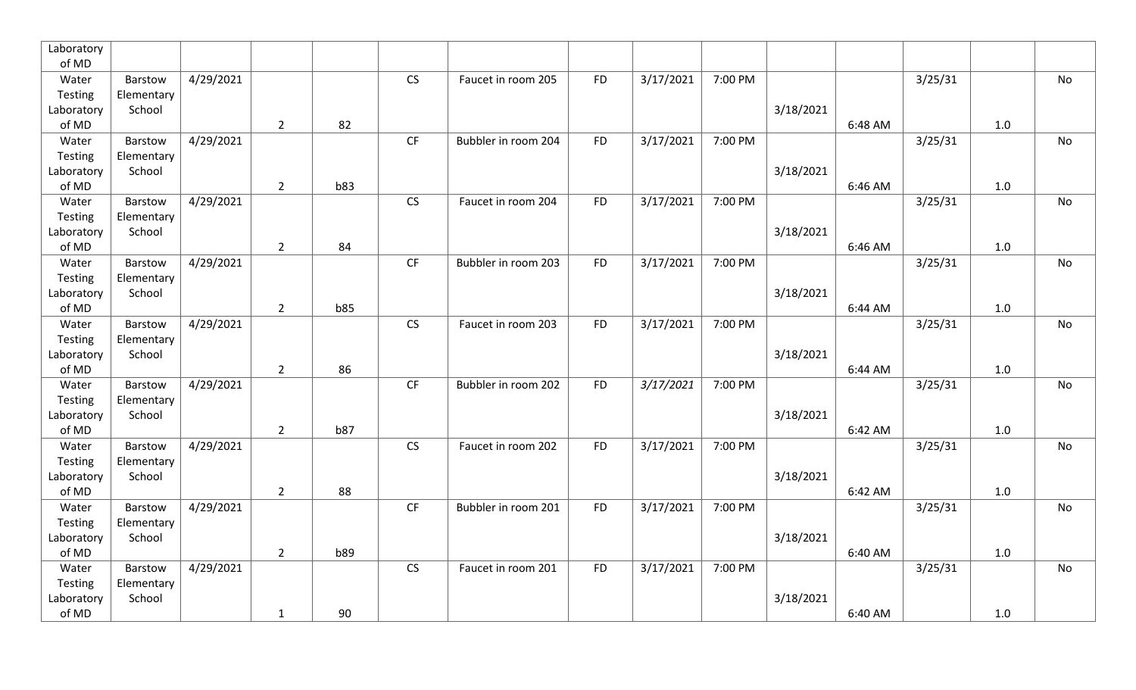| Laboratory |                |           |                |            |           |                     |           |           |         |           |         |         |         |    |
|------------|----------------|-----------|----------------|------------|-----------|---------------------|-----------|-----------|---------|-----------|---------|---------|---------|----|
| of MD      |                |           |                |            |           |                     |           |           |         |           |         |         |         |    |
| Water      | Barstow        | 4/29/2021 |                |            | <b>CS</b> | Faucet in room 205  | <b>FD</b> | 3/17/2021 | 7:00 PM |           |         | 3/25/31 |         | No |
| Testing    | Elementary     |           |                |            |           |                     |           |           |         |           |         |         |         |    |
| Laboratory | School         |           |                |            |           |                     |           |           |         | 3/18/2021 |         |         |         |    |
| of MD      |                |           | $2^{\circ}$    | 82         |           |                     |           |           |         |           | 6:48 AM |         | 1.0     |    |
| Water      | Barstow        | 4/29/2021 |                |            | CF        | Bubbler in room 204 | <b>FD</b> | 3/17/2021 | 7:00 PM |           |         | 3/25/31 |         | No |
| Testing    | Elementary     |           |                |            |           |                     |           |           |         |           |         |         |         |    |
| Laboratory | School         |           |                |            |           |                     |           |           |         | 3/18/2021 |         |         |         |    |
| of MD      |                |           | $\overline{2}$ | <b>b83</b> |           |                     |           |           |         |           | 6:46 AM |         | 1.0     |    |
| Water      | Barstow        | 4/29/2021 |                |            | CS        | Faucet in room 204  | <b>FD</b> | 3/17/2021 | 7:00 PM |           |         | 3/25/31 |         | No |
| Testing    | Elementary     |           |                |            |           |                     |           |           |         |           |         |         |         |    |
| Laboratory | School         |           |                |            |           |                     |           |           |         | 3/18/2021 |         |         |         |    |
| of MD      |                |           | $2^{\circ}$    | 84         |           |                     |           |           |         |           | 6:46 AM |         | $1.0\,$ |    |
| Water      | Barstow        | 4/29/2021 |                |            | <b>CF</b> | Bubbler in room 203 | <b>FD</b> | 3/17/2021 | 7:00 PM |           |         | 3/25/31 |         | No |
| Testing    | Elementary     |           |                |            |           |                     |           |           |         |           |         |         |         |    |
| Laboratory | School         |           |                |            |           |                     |           |           |         | 3/18/2021 |         |         |         |    |
| of MD      |                |           | $2^{\circ}$    | <b>b85</b> |           |                     |           |           |         |           | 6:44 AM |         | 1.0     |    |
| Water      | Barstow        | 4/29/2021 |                |            | <b>CS</b> | Faucet in room 203  | <b>FD</b> | 3/17/2021 | 7:00 PM |           |         | 3/25/31 |         | No |
| Testing    | Elementary     |           |                |            |           |                     |           |           |         |           |         |         |         |    |
| Laboratory | School         |           |                |            |           |                     |           |           |         | 3/18/2021 |         |         |         |    |
| of MD      |                |           | $\overline{2}$ | 86         |           |                     |           |           |         |           | 6:44 AM |         | 1.0     |    |
| Water      | Barstow        | 4/29/2021 |                |            | CF        | Bubbler in room 202 | <b>FD</b> | 3/17/2021 | 7:00 PM |           |         | 3/25/31 |         | No |
| Testing    | Elementary     |           |                |            |           |                     |           |           |         |           |         |         |         |    |
| Laboratory | School         |           |                |            |           |                     |           |           |         | 3/18/2021 |         |         |         |    |
| of MD      |                |           | $\overline{2}$ | <b>b87</b> |           |                     |           |           |         |           | 6:42 AM |         | 1.0     |    |
| Water      | <b>Barstow</b> | 4/29/2021 |                |            | CS        | Faucet in room 202  | <b>FD</b> | 3/17/2021 | 7:00 PM |           |         | 3/25/31 |         | No |
| Testing    | Elementary     |           |                |            |           |                     |           |           |         |           |         |         |         |    |
| Laboratory | School         |           |                |            |           |                     |           |           |         | 3/18/2021 |         |         |         |    |
| of MD      |                |           | $\overline{2}$ | 88         |           |                     |           |           |         |           | 6:42 AM |         | 1.0     |    |
| Water      | Barstow        | 4/29/2021 |                |            | CF        | Bubbler in room 201 | <b>FD</b> | 3/17/2021 | 7:00 PM |           |         | 3/25/31 |         | No |
| Testing    | Elementary     |           |                |            |           |                     |           |           |         |           |         |         |         |    |
| Laboratory | School         |           |                |            |           |                     |           |           |         | 3/18/2021 |         |         |         |    |
| of MD      |                |           | $\overline{2}$ | <b>b89</b> |           |                     |           |           |         |           | 6:40 AM |         | 1.0     |    |
| Water      | Barstow        | 4/29/2021 |                |            | CS        | Faucet in room 201  | <b>FD</b> | 3/17/2021 | 7:00 PM |           |         | 3/25/31 |         | No |
| Testing    | Elementary     |           |                |            |           |                     |           |           |         |           |         |         |         |    |
| Laboratory | School         |           |                |            |           |                     |           |           |         | 3/18/2021 |         |         |         |    |
| of MD      |                |           | $\mathbf{1}$   | 90         |           |                     |           |           |         |           | 6:40 AM |         | $1.0\,$ |    |